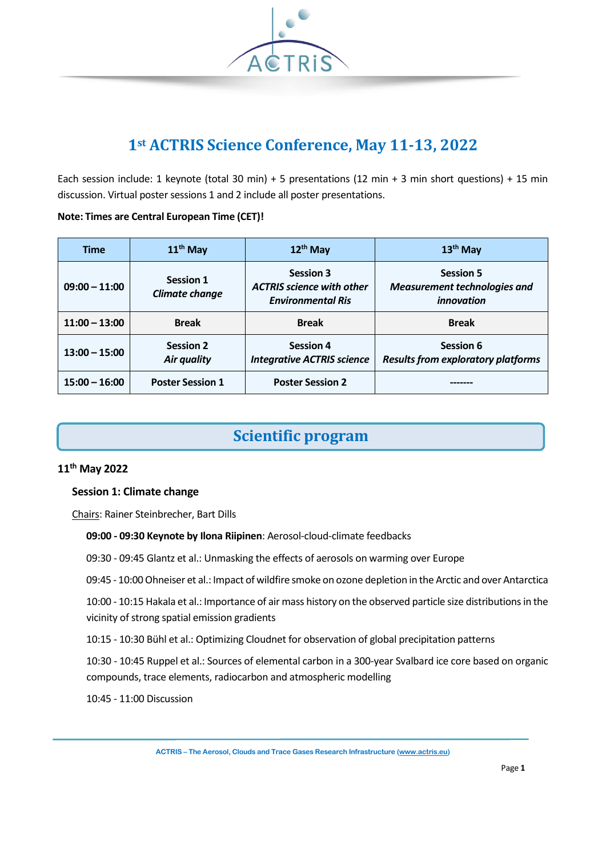

## **1st ACTRIS Science Conference, May 11-13, 2022**

Each session include: 1 keynote (total 30 min) + 5 presentations (12 min + 3 min short questions) + 15 min discussion. Virtual poster sessions 1 and 2 include all poster presentations.

#### **Note: Times are Central European Time (CET)!**

| <b>Time</b>     | $11th$ May                         | 12 <sup>th</sup> May                                                             | $13th$ May                                                                   |
|-----------------|------------------------------------|----------------------------------------------------------------------------------|------------------------------------------------------------------------------|
| $09:00 - 11:00$ | <b>Session 1</b><br>Climate change | <b>Session 3</b><br><b>ACTRIS</b> science with other<br><b>Environmental Ris</b> | <b>Session 5</b><br><b>Measurement technologies and</b><br><i>innovation</i> |
| $11:00 - 13:00$ | <b>Break</b>                       | <b>Break</b>                                                                     | <b>Break</b>                                                                 |
| $13:00 - 15:00$ | <b>Session 2</b><br>Air quality    | <b>Session 4</b><br><b>Integrative ACTRIS science</b>                            | Session 6<br><b>Results from exploratory platforms</b>                       |
| $15:00 - 16:00$ | <b>Poster Session 1</b>            | <b>Poster Session 2</b>                                                          |                                                                              |

## **Scientific program**

### **11th May 2022**

### **Session 1: Climate change**

Chairs: Rainer Steinbrecher, Bart Dills

- **09:00 - 09:30 Keynote by Ilona Riipinen**: Aerosol-cloud-climate feedbacks
- 09:30 09:45 Glantz et al.: Unmasking the effects of aerosols on warming over Europe
- 09:45 10:00 Ohneiser et al.: Impact of wildfire smoke on ozone depletion in the Arctic and over Antarctica
- 10:00 10:15 Hakala et al.: Importance of air mass history on the observed particle size distributions in the vicinity of strong spatial emission gradients
- 10:15 10:30 Bühl et al.: Optimizing Cloudnet for observation of global precipitation patterns
- 10:30 10:45 Ruppel et al.: Sources of elemental carbon in a 300-year Svalbard ice core based on organic compounds, trace elements, radiocarbon and atmospheric modelling
- 10:45 11:00 Discussion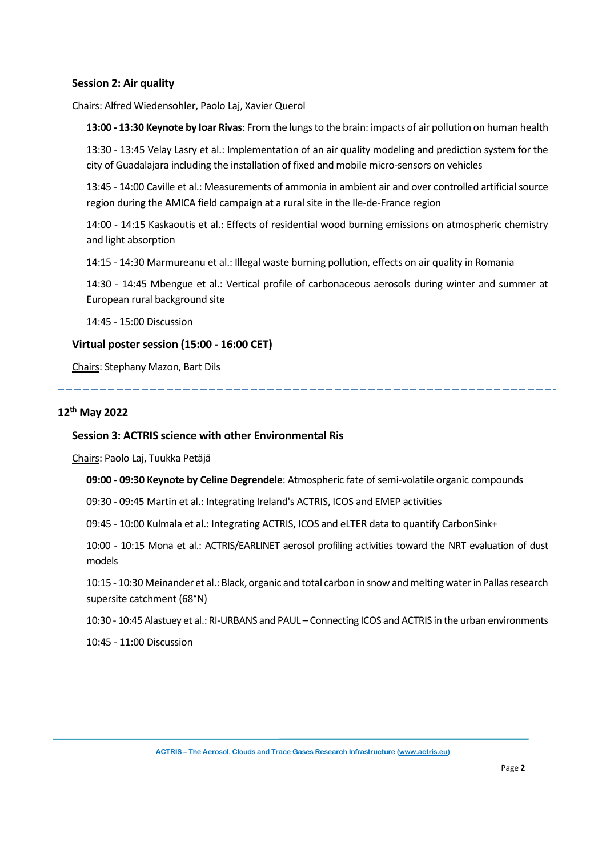#### **Session 2: Air quality**

Chairs: Alfred Wiedensohler, Paolo Laj, Xavier Querol

**13:00 - 13:30 Keynote by Ioar Rivas**: From the lungs to the brain: impacts of air pollution on human health

13:30 - 13:45 Velay Lasry et al.: Implementation of an air quality modeling and prediction system for the city of Guadalajara including the installation of fixed and mobile micro-sensors on vehicles

13:45 - 14:00 Caville et al.: Measurements of ammonia in ambient air and over controlled artificial source region during the AMICA field campaign at a rural site in the Ile-de-France region

14:00 - 14:15 Kaskaoutis et al.: Effects of residential wood burning emissions on atmospheric chemistry and light absorption

14:15 - 14:30 Marmureanu et al.: Illegal waste burning pollution, effects on air quality in Romania

14:30 - 14:45 Mbengue et al.: Vertical profile of carbonaceous aerosols during winter and summer at European rural background site

14:45 - 15:00 Discussion

### **Virtual poster session (15:00 - 16:00 CET)**

Chairs: Stephany Mazon, Bart Dils

### **12 th May 2022**

#### **Session 3: ACTRIS science with other Environmental Ris**

Chairs: Paolo Laj, Tuukka Petäjä

**09:00 - 09:30 Keynote by Celine Degrendele**: Atmospheric fate of semi-volatile organic compounds

09:30 - 09:45 Martin et al.: Integrating Ireland's ACTRIS, ICOS and EMEP activities

09:45 - 10:00 Kulmala et al.: Integrating ACTRIS, ICOS and eLTER data to quantify CarbonSink+

10:00 - 10:15 Mona et al.: ACTRIS/EARLINET aerosol profiling activities toward the NRT evaluation of dust models

10:15 - 10:30 Meinander et al.: Black, organic and total carbon in snow and melting water in Pallas research supersite catchment (68°N)

10:30 - 10:45 Alastuey et al.: RI-URBANS and PAUL – Connecting ICOS and ACTRIS in the urban environments

10:45 - 11:00 Discussion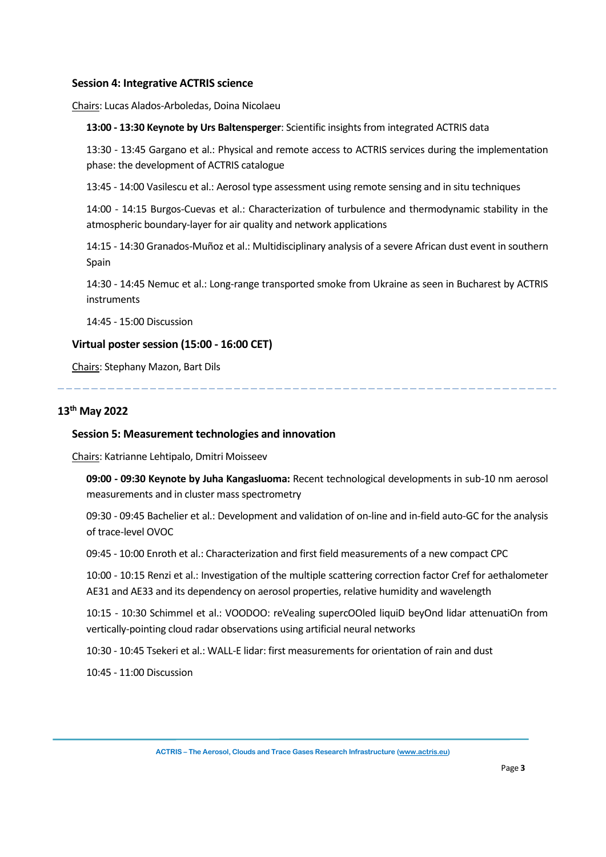#### **Session 4: Integrative ACTRIS science**

Chairs: Lucas Alados-Arboledas, Doina Nicolaeu

#### **13:00 - 13:30 Keynote by Urs Baltensperger**: Scientific insights from integrated ACTRIS data

13:30 - 13:45 Gargano et al.: Physical and remote access to ACTRIS services during the implementation phase: the development of ACTRIS catalogue

13:45 - 14:00 Vasilescu et al.: Aerosol type assessment using remote sensing and in situ techniques

14:00 - 14:15 Burgos-Cuevas et al.: Characterization of turbulence and thermodynamic stability in the atmospheric boundary-layer for air quality and network applications

14:15 - 14:30 Granados-Muñoz et al.: Multidisciplinary analysis of a severe African dust event in southern Spain

14:30 - 14:45 Nemuc et al.: Long-range transported smoke from Ukraine as seen in Bucharest by ACTRIS instruments

14:45 - 15:00 Discussion

#### **Virtual poster session (15:00 - 16:00 CET)**

Chairs: Stephany Mazon, Bart Dils

### **13 th May 2022**

#### **Session 5: Measurement technologies and innovation**

Chairs: Katrianne Lehtipalo, Dmitri Moisseev

**09:00 - 09:30 Keynote by Juha Kangasluoma:** Recent technological developments in sub-10 nm aerosol measurements and in cluster mass spectrometry

09:30 - 09:45 Bachelier et al.: Development and validation of on-line and in-field auto-GC for the analysis of trace-level OVOC

09:45 - 10:00 Enroth et al.: Characterization and first field measurements of a new compact CPC

10:00 - 10:15 Renzi et al.: Investigation of the multiple scattering correction factor Cref for aethalometer AE31 and AE33 and its dependency on aerosol properties, relative humidity and wavelength

10:15 - 10:30 Schimmel et al.: VOODOO: reVealing supercOOled liquiD beyOnd lidar attenuatiOn from vertically-pointing cloud radar observations using artificial neural networks

10:30 - 10:45 Tsekeri et al.: WALL-E lidar: first measurements for orientation of rain and dust

10:45 - 11:00 Discussion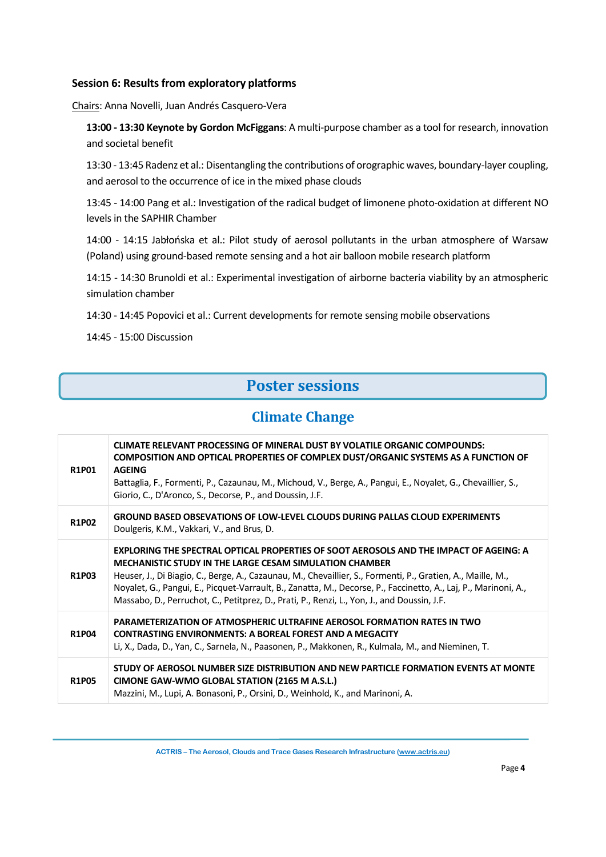### **Session 6: Results from exploratory platforms**

Chairs: Anna Novelli, Juan Andrés Casquero-Vera

**13:00 - 13:30 Keynote by Gordon McFiggans**: A multi-purpose chamber as a tool for research, innovation and societal benefit

13:30 - 13:45 Radenz et al.: Disentangling the contributions of orographic waves, boundary-layer coupling, and aerosol to the occurrence of ice in the mixed phase clouds

13:45 - 14:00 Pang et al.: Investigation of the radical budget of limonene photo-oxidation at different NO levels in the SAPHIR Chamber

14:00 - 14:15 Jabłońska et al.: Pilot study of aerosol pollutants in the urban atmosphere of Warsaw (Poland) using ground-based remote sensing and a hot air balloon mobile research platform

14:15 - 14:30 Brunoldi et al.: Experimental investigation of airborne bacteria viability by an atmospheric simulation chamber

14:30 - 14:45 Popovici et al.: Current developments for remote sensing mobile observations

14:45 - 15:00 Discussion

## **Poster sessions**

### **Climate Change**

| <b>R1P01</b> | CLIMATE RELEVANT PROCESSING OF MINERAL DUST BY VOLATILE ORGANIC COMPOUNDS:<br><b>COMPOSITION AND OPTICAL PROPERTIES OF COMPLEX DUST/ORGANIC SYSTEMS AS A FUNCTION OF</b><br><b>AGEING</b><br>Battaglia, F., Formenti, P., Cazaunau, M., Michoud, V., Berge, A., Pangui, E., Noyalet, G., Chevaillier, S.,<br>Giorio, C., D'Aronco, S., Decorse, P., and Doussin, J.F.                                                                                                                     |
|--------------|-------------------------------------------------------------------------------------------------------------------------------------------------------------------------------------------------------------------------------------------------------------------------------------------------------------------------------------------------------------------------------------------------------------------------------------------------------------------------------------------|
| <b>R1P02</b> | GROUND BASED OBSEVATIONS OF LOW-LEVEL CLOUDS DURING PALLAS CLOUD EXPERIMENTS<br>Doulgeris, K.M., Vakkari, V., and Brus, D.                                                                                                                                                                                                                                                                                                                                                                |
| R1P03        | EXPLORING THE SPECTRAL OPTICAL PROPERTIES OF SOOT AEROSOLS AND THE IMPACT OF AGEING: A<br><b>MECHANISTIC STUDY IN THE LARGE CESAM SIMULATION CHAMBER</b><br>Heuser, J., Di Biagio, C., Berge, A., Cazaunau, M., Chevaillier, S., Formenti, P., Gratien, A., Maille, M.,<br>Noyalet, G., Pangui, E., Picquet-Varrault, B., Zanatta, M., Decorse, P., Faccinetto, A., Laj, P., Marinoni, A.,<br>Massabo, D., Perruchot, C., Petitprez, D., Prati, P., Renzi, L., Yon, J., and Doussin, J.F. |
| <b>R1P04</b> | <b>PARAMETERIZATION OF ATMOSPHERIC ULTRAFINE AEROSOL FORMATION RATES IN TWO</b><br><b>CONTRASTING ENVIRONMENTS: A BOREAL FOREST AND A MEGACITY</b><br>Li, X., Dada, D., Yan, C., Sarnela, N., Paasonen, P., Makkonen, R., Kulmala, M., and Nieminen, T.                                                                                                                                                                                                                                   |
| <b>R1P05</b> | STUDY OF AEROSOL NUMBER SIZE DISTRIBUTION AND NEW PARTICLE FORMATION EVENTS AT MONTE<br>CIMONE GAW-WMO GLOBAL STATION (2165 M A.S.L.)<br>Mazzini, M., Lupi, A. Bonasoni, P., Orsini, D., Weinhold, K., and Marinoni, A.                                                                                                                                                                                                                                                                   |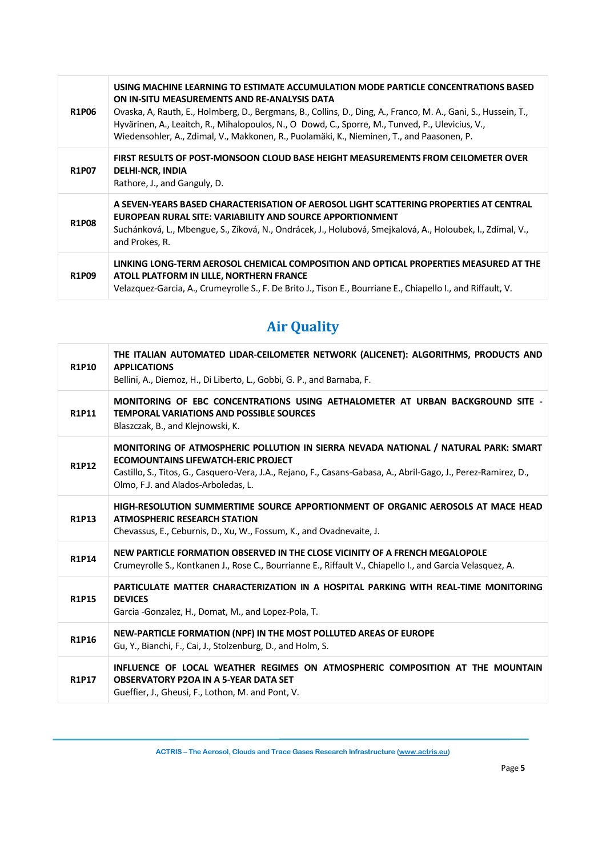| <b>R1P06</b> | USING MACHINE LEARNING TO ESTIMATE ACCUMULATION MODE PARTICLE CONCENTRATIONS BASED<br>ON IN-SITU MEASUREMENTS AND RE-ANALYSIS DATA<br>Ovaska, A, Rauth, E., Holmberg, D., Bergmans, B., Collins, D., Ding, A., Franco, M. A., Gani, S., Hussein, T.,<br>Hyvärinen, A., Leaitch, R., Mihalopoulos, N., O Dowd, C., Sporre, M., Tunved, P., Ulevicius, V.,<br>Wiedensohler, A., Zdimal, V., Makkonen, R., Puolamäki, K., Nieminen, T., and Paasonen, P. |
|--------------|-------------------------------------------------------------------------------------------------------------------------------------------------------------------------------------------------------------------------------------------------------------------------------------------------------------------------------------------------------------------------------------------------------------------------------------------------------|
| <b>R1P07</b> | FIRST RESULTS OF POST-MONSOON CLOUD BASE HEIGHT MEASUREMENTS FROM CEILOMETER OVER<br><b>DELHI-NCR, INDIA</b><br>Rathore, J., and Ganguly, D.                                                                                                                                                                                                                                                                                                          |
| <b>R1P08</b> | A SEVEN-YEARS BASED CHARACTERISATION OF AEROSOL LIGHT SCATTERING PROPERTIES AT CENTRAL<br>EUROPEAN RURAL SITE: VARIABILITY AND SOURCE APPORTIONMENT<br>Suchánková, L., Mbengue, S., Zíková, N., Ondrácek, J., Holubová, Smejkalová, A., Holoubek, I., Zdímal, V.,<br>and Prokes, R.                                                                                                                                                                   |
| <b>R1P09</b> | LINKING LONG-TERM AEROSOL CHEMICAL COMPOSITION AND OPTICAL PROPERTIES MEASURED AT THE<br>ATOLL PLATFORM IN LILLE, NORTHERN FRANCE<br>Velazquez-Garcia, A., Crumeyrolle S., F. De Brito J., Tison E., Bourriane E., Chiapello I., and Riffault, V.                                                                                                                                                                                                     |

# **Air Quality**

| <b>R1P10</b> | THE ITALIAN AUTOMATED LIDAR-CEILOMETER NETWORK (ALICENET): ALGORITHMS, PRODUCTS AND<br><b>APPLICATIONS</b><br>Bellini, A., Diemoz, H., Di Liberto, L., Gobbi, G. P., and Barnaba, F.                                                                                                        |
|--------------|---------------------------------------------------------------------------------------------------------------------------------------------------------------------------------------------------------------------------------------------------------------------------------------------|
| <b>R1P11</b> | MONITORING OF EBC CONCENTRATIONS USING AETHALOMETER AT URBAN BACKGROUND SITE -<br><b>TEMPORAL VARIATIONS AND POSSIBLE SOURCES</b><br>Blaszczak, B., and Klejnowski, K.                                                                                                                      |
| <b>R1P12</b> | MONITORING OF ATMOSPHERIC POLLUTION IN SIERRA NEVADA NATIONAL / NATURAL PARK: SMART<br><b>ECOMOUNTAINS LIFEWATCH-ERIC PROJECT</b><br>Castillo, S., Titos, G., Casquero-Vera, J.A., Rejano, F., Casans-Gabasa, A., Abril-Gago, J., Perez-Ramirez, D.,<br>Olmo, F.J. and Alados-Arboledas, L. |
| R1P13        | HIGH-RESOLUTION SUMMERTIME SOURCE APPORTIONMENT OF ORGANIC AEROSOLS AT MACE HEAD<br><b>ATMOSPHERIC RESEARCH STATION</b><br>Chevassus, E., Ceburnis, D., Xu, W., Fossum, K., and Ovadnevaite, J.                                                                                             |
| R1P14        | NEW PARTICLE FORMATION OBSERVED IN THE CLOSE VICINITY OF A FRENCH MEGALOPOLE<br>Crumeyrolle S., Kontkanen J., Rose C., Bourrianne E., Riffault V., Chiapello I., and Garcia Velasquez, A.                                                                                                   |
| <b>R1P15</b> | PARTICULATE MATTER CHARACTERIZATION IN A HOSPITAL PARKING WITH REAL-TIME MONITORING<br><b>DEVICES</b><br>Garcia -Gonzalez, H., Domat, M., and Lopez-Pola, T.                                                                                                                                |
| <b>R1P16</b> | NEW-PARTICLE FORMATION (NPF) IN THE MOST POLLUTED AREAS OF EUROPE<br>Gu, Y., Bianchi, F., Cai, J., Stolzenburg, D., and Holm, S.                                                                                                                                                            |
| <b>R1P17</b> | INFLUENCE OF LOCAL WEATHER REGIMES ON ATMOSPHERIC COMPOSITION AT THE MOUNTAIN<br><b>OBSERVATORY P2OA IN A 5-YEAR DATA SET</b><br>Gueffier, J., Gheusi, F., Lothon, M. and Pont, V.                                                                                                          |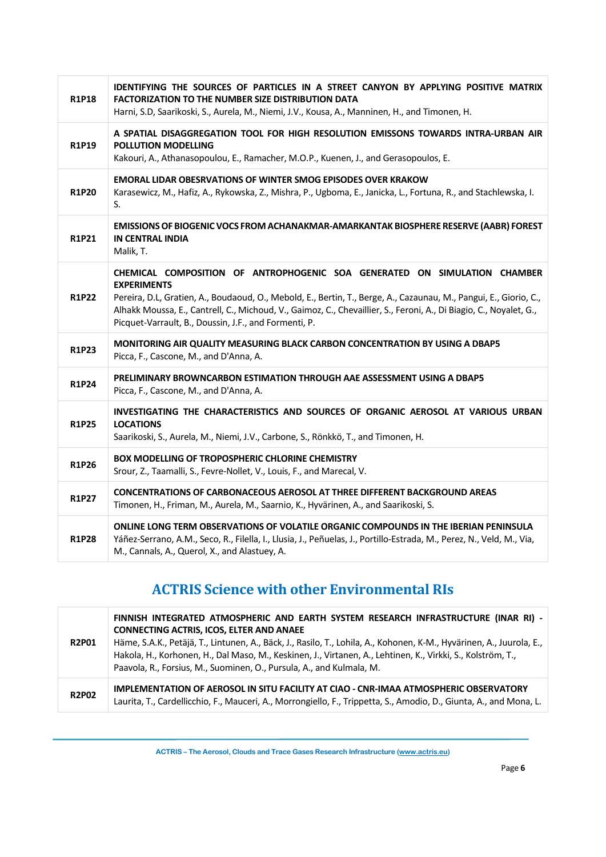| <b>R1P18</b> | IDENTIFYING THE SOURCES OF PARTICLES IN A STREET CANYON BY APPLYING POSITIVE MATRIX<br><b>FACTORIZATION TO THE NUMBER SIZE DISTRIBUTION DATA</b><br>Harni, S.D, Saarikoski, S., Aurela, M., Niemi, J.V., Kousa, A., Manninen, H., and Timonen, H.                                                                                                                                                   |
|--------------|-----------------------------------------------------------------------------------------------------------------------------------------------------------------------------------------------------------------------------------------------------------------------------------------------------------------------------------------------------------------------------------------------------|
| <b>R1P19</b> | A SPATIAL DISAGGREGATION TOOL FOR HIGH RESOLUTION EMISSONS TOWARDS INTRA-URBAN AIR<br><b>POLLUTION MODELLING</b><br>Kakouri, A., Athanasopoulou, E., Ramacher, M.O.P., Kuenen, J., and Gerasopoulos, E.                                                                                                                                                                                             |
| <b>R1P20</b> | <b>EMORAL LIDAR OBESRVATIONS OF WINTER SMOG EPISODES OVER KRAKOW</b><br>Karasewicz, M., Hafiz, A., Rykowska, Z., Mishra, P., Ugboma, E., Janicka, L., Fortuna, R., and Stachlewska, I.<br>S.                                                                                                                                                                                                        |
| R1P21        | EMISSIONS OF BIOGENIC VOCS FROM ACHANAKMAR-AMARKANTAK BIOSPHERE RESERVE (AABR) FOREST<br>IN CENTRAL INDIA<br>Malik, T.                                                                                                                                                                                                                                                                              |
| <b>R1P22</b> | CHEMICAL COMPOSITION OF ANTROPHOGENIC SOA GENERATED ON SIMULATION CHAMBER<br><b>EXPERIMENTS</b><br>Pereira, D.L, Gratien, A., Boudaoud, O., Mebold, E., Bertin, T., Berge, A., Cazaunau, M., Pangui, E., Giorio, C.,<br>Alhakk Moussa, E., Cantrell, C., Michoud, V., Gaimoz, C., Chevaillier, S., Feroni, A., Di Biagio, C., Noyalet, G.,<br>Picquet-Varrault, B., Doussin, J.F., and Formenti, P. |
| <b>R1P23</b> | MONITORING AIR QUALITY MEASURING BLACK CARBON CONCENTRATION BY USING A DBAP5<br>Picca, F., Cascone, M., and D'Anna, A.                                                                                                                                                                                                                                                                              |
| <b>R1P24</b> | PRELIMINARY BROWNCARBON ESTIMATION THROUGH AAE ASSESSMENT USING A DBAP5<br>Picca, F., Cascone, M., and D'Anna, A.                                                                                                                                                                                                                                                                                   |
| <b>R1P25</b> | INVESTIGATING THE CHARACTERISTICS AND SOURCES OF ORGANIC AEROSOL AT VARIOUS URBAN<br><b>LOCATIONS</b><br>Saarikoski, S., Aurela, M., Niemi, J.V., Carbone, S., Rönkkö, T., and Timonen, H.                                                                                                                                                                                                          |
| <b>R1P26</b> | <b>BOX MODELLING OF TROPOSPHERIC CHLORINE CHEMISTRY</b><br>Srour, Z., Taamalli, S., Fevre-Nollet, V., Louis, F., and Marecal, V.                                                                                                                                                                                                                                                                    |
| <b>R1P27</b> | <b>CONCENTRATIONS OF CARBONACEOUS AEROSOL AT THREE DIFFERENT BACKGROUND AREAS</b><br>Timonen, H., Friman, M., Aurela, M., Saarnio, K., Hyvärinen, A., and Saarikoski, S.                                                                                                                                                                                                                            |
| <b>R1P28</b> | ONLINE LONG TERM OBSERVATIONS OF VOLATILE ORGANIC COMPOUNDS IN THE IBERIAN PENINSULA<br>Yáñez-Serrano, A.M., Seco, R., Filella, I., Llusia, J., Peñuelas, J., Portillo-Estrada, M., Perez, N., Veld, M., Via,<br>M., Cannals, A., Querol, X., and Alastuey, A.                                                                                                                                      |

## **ACTRIS Science with other Environmental RIs**

| <b>R2P01</b> | FINNISH INTEGRATED ATMOSPHERIC AND EARTH SYSTEM RESEARCH INFRASTRUCTURE (INAR RI) -<br><b>CONNECTING ACTRIS, ICOS, ELTER AND ANAEE</b><br>Häme, S.A.K., Petäjä, T., Lintunen, A., Bäck, J., Rasilo, T., Lohila, A., Kohonen, K-M., Hyvärinen, A., Juurola, E.,<br>Hakola, H., Korhonen, H., Dal Maso, M., Keskinen, J., Virtanen, A., Lehtinen, K., Virkki, S., Kolström, T.,<br>Paavola, R., Forsius, M., Suominen, O., Pursula, A., and Kulmala, M. |
|--------------|-------------------------------------------------------------------------------------------------------------------------------------------------------------------------------------------------------------------------------------------------------------------------------------------------------------------------------------------------------------------------------------------------------------------------------------------------------|
| <b>R2P02</b> | IMPLEMENTATION OF AEROSOL IN SITU FACILITY AT CIAO - CNR-IMAA ATMOSPHERIC OBSERVATORY<br>Laurita, T., Cardellicchio, F., Mauceri, A., Morrongiello, F., Trippetta, S., Amodio, D., Giunta, A., and Mona, L.                                                                                                                                                                                                                                           |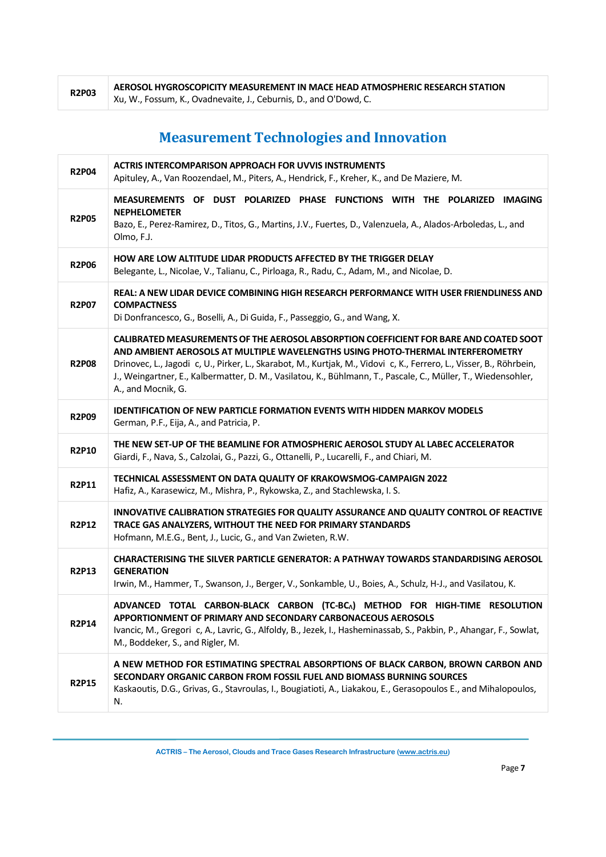| <b>R2P03</b> | AEROSOL HYGROSCOPICITY MEASUREMENT IN MACE HEAD ATMOSPHERIC RESEARCH STATION |
|--------------|------------------------------------------------------------------------------|
|              | Xu, W., Fossum, K., Ovadnevaite, J., Ceburnis, D., and O'Dowd, C.            |

# **Measurement Technologies and Innovation**

| <b>R2P04</b> | <b>ACTRIS INTERCOMPARISON APPROACH FOR UVVIS INSTRUMENTS</b><br>Apituley, A., Van Roozendael, M., Piters, A., Hendrick, F., Kreher, K., and De Maziere, M.                                                                                                                                                                                                                                                                              |
|--------------|-----------------------------------------------------------------------------------------------------------------------------------------------------------------------------------------------------------------------------------------------------------------------------------------------------------------------------------------------------------------------------------------------------------------------------------------|
| <b>R2P05</b> | MEASUREMENTS OF DUST POLARIZED PHASE FUNCTIONS WITH THE POLARIZED IMAGING<br><b>NEPHELOMETER</b><br>Bazo, E., Perez-Ramirez, D., Titos, G., Martins, J.V., Fuertes, D., Valenzuela, A., Alados-Arboledas, L., and<br>Olmo, F.J.                                                                                                                                                                                                         |
| <b>R2P06</b> | HOW ARE LOW ALTITUDE LIDAR PRODUCTS AFFECTED BY THE TRIGGER DELAY<br>Belegante, L., Nicolae, V., Talianu, C., Pirloaga, R., Radu, C., Adam, M., and Nicolae, D.                                                                                                                                                                                                                                                                         |
| <b>R2P07</b> | REAL: A NEW LIDAR DEVICE COMBINING HIGH RESEARCH PERFORMANCE WITH USER FRIENDLINESS AND<br><b>COMPACTNESS</b><br>Di Donfrancesco, G., Boselli, A., Di Guida, F., Passeggio, G., and Wang, X.                                                                                                                                                                                                                                            |
| <b>R2P08</b> | CALIBRATED MEASUREMENTS OF THE AEROSOL ABSORPTION COEFFICIENT FOR BARE AND COATED SOOT<br>AND AMBIENT AEROSOLS AT MULTIPLE WAVELENGTHS USING PHOTO-THERMAL INTERFEROMETRY<br>Drinovec, L., Jagodi c, U., Pirker, L., Skarabot, M., Kurtjak, M., Vidovi c, K., Ferrero, L., Visser, B., Röhrbein,<br>J., Weingartner, E., Kalbermatter, D. M., Vasilatou, K., Bühlmann, T., Pascale, C., Müller, T., Wiedensohler,<br>A., and Mocnik, G. |
| <b>R2P09</b> | <b>IDENTIFICATION OF NEW PARTICLE FORMATION EVENTS WITH HIDDEN MARKOV MODELS</b><br>German, P.F., Eija, A., and Patricia, P.                                                                                                                                                                                                                                                                                                            |
| <b>R2P10</b> | THE NEW SET-UP OF THE BEAMLINE FOR ATMOSPHERIC AEROSOL STUDY AL LABEC ACCELERATOR<br>Giardi, F., Nava, S., Calzolai, G., Pazzi, G., Ottanelli, P., Lucarelli, F., and Chiari, M.                                                                                                                                                                                                                                                        |
| <b>R2P11</b> | TECHNICAL ASSESSMENT ON DATA QUALITY OF KRAKOWSMOG-CAMPAIGN 2022<br>Hafiz, A., Karasewicz, M., Mishra, P., Rykowska, Z., and Stachlewska, I. S.                                                                                                                                                                                                                                                                                         |
| <b>R2P12</b> | INNOVATIVE CALIBRATION STRATEGIES FOR QUALITY ASSURANCE AND QUALITY CONTROL OF REACTIVE<br>TRACE GAS ANALYZERS, WITHOUT THE NEED FOR PRIMARY STANDARDS<br>Hofmann, M.E.G., Bent, J., Lucic, G., and Van Zwieten, R.W.                                                                                                                                                                                                                   |
| <b>R2P13</b> | CHARACTERISING THE SILVER PARTICLE GENERATOR: A PATHWAY TOWARDS STANDARDISING AEROSOL<br><b>GENERATION</b><br>Irwin, M., Hammer, T., Swanson, J., Berger, V., Sonkamble, U., Boies, A., Schulz, H-J., and Vasilatou, K.                                                                                                                                                                                                                 |
| <b>R2P14</b> | ADVANCED TOTAL CARBON-BLACK CARBON (TC-BCA) METHOD FOR HIGH-TIME RESOLUTION<br>APPORTIONMENT OF PRIMARY AND SECONDARY CARBONACEOUS AEROSOLS<br>Ivancic, M., Gregori c, A., Lavric, G., Alfoldy, B., Jezek, I., Hasheminassab, S., Pakbin, P., Ahangar, F., Sowlat,<br>M., Boddeker, S., and Rigler, M.                                                                                                                                  |
| <b>R2P15</b> | A NEW METHOD FOR ESTIMATING SPECTRAL ABSORPTIONS OF BLACK CARBON, BROWN CARBON AND<br>SECONDARY ORGANIC CARBON FROM FOSSIL FUEL AND BIOMASS BURNING SOURCES<br>Kaskaoutis, D.G., Grivas, G., Stavroulas, I., Bougiatioti, A., Liakakou, E., Gerasopoulos E., and Mihalopoulos,<br>N.                                                                                                                                                    |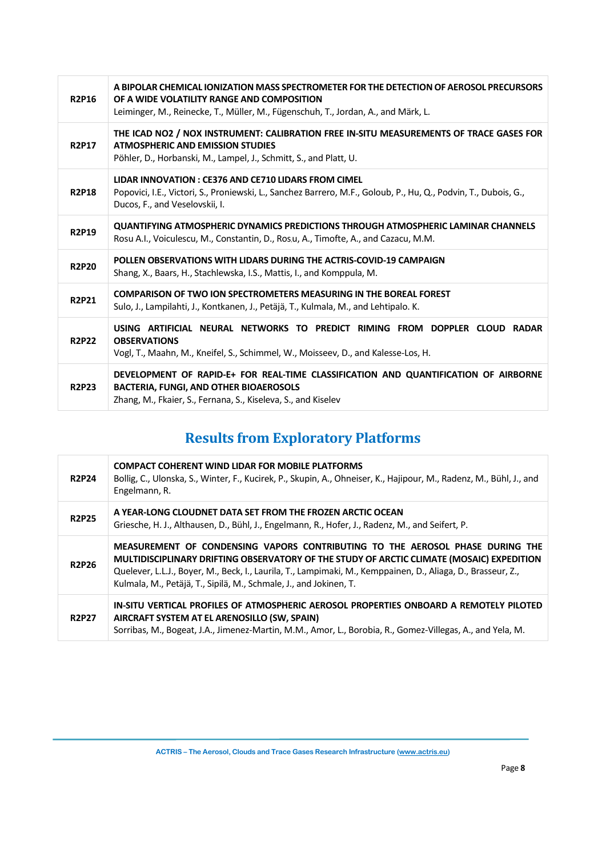| <b>R2P16</b> | A BIPOLAR CHEMICAL IONIZATION MASS SPECTROMETER FOR THE DETECTION OF AEROSOL PRECURSORS<br>OF A WIDE VOLATILITY RANGE AND COMPOSITION<br>Leiminger, M., Reinecke, T., Müller, M., Fügenschuh, T., Jordan, A., and Märk, L. |
|--------------|----------------------------------------------------------------------------------------------------------------------------------------------------------------------------------------------------------------------------|
| <b>R2P17</b> | THE ICAD NO2 / NOX INSTRUMENT: CALIBRATION FREE IN-SITU MEASUREMENTS OF TRACE GASES FOR<br><b>ATMOSPHERIC AND EMISSION STUDIES</b><br>Pöhler, D., Horbanski, M., Lampel, J., Schmitt, S., and Platt, U.                    |
| <b>R2P18</b> | LIDAR INNOVATION: CE376 AND CE710 LIDARS FROM CIMEL<br>Popovici, I.E., Victori, S., Proniewski, L., Sanchez Barrero, M.F., Goloub, P., Hu, Q., Podvin, T., Dubois, G.,<br>Ducos, F., and Veselovskii, I.                   |
| <b>R2P19</b> | QUANTIFYING ATMOSPHERIC DYNAMICS PREDICTIONS THROUGH ATMOSPHERIC LAMINAR CHANNELS<br>Rosu A.I., Voiculescu, M., Constantin, D., Ros.u, A., Timofte, A., and Cazacu, M.M.                                                   |
| <b>R2P20</b> | POLLEN OBSERVATIONS WITH LIDARS DURING THE ACTRIS-COVID-19 CAMPAIGN<br>Shang, X., Baars, H., Stachlewska, I.S., Mattis, I., and Komppula, M.                                                                               |
| <b>R2P21</b> | <b>COMPARISON OF TWO ION SPECTROMETERS MEASURING IN THE BOREAL FOREST</b><br>Sulo, J., Lampilahti, J., Kontkanen, J., Petäjä, T., Kulmala, M., and Lehtipalo. K.                                                           |
| <b>R2P22</b> | USING ARTIFICIAL NEURAL NETWORKS TO PREDICT RIMING FROM DOPPLER CLOUD RADAR<br><b>OBSERVATIONS</b><br>Vogl, T., Maahn, M., Kneifel, S., Schimmel, W., Moisseev, D., and Kalesse-Los, H.                                    |
| <b>R2P23</b> | DEVELOPMENT OF RAPID-E+ FOR REAL-TIME CLASSIFICATION AND QUANTIFICATION OF AIRBORNE<br><b>BACTERIA, FUNGI, AND OTHER BIOAEROSOLS</b><br>Zhang, M., Fkaier, S., Fernana, S., Kiseleva, S., and Kiselev                      |

# **Results from Exploratory Platforms**

| <b>R2P24</b> | <b>COMPACT COHERENT WIND LIDAR FOR MOBILE PLATFORMS</b><br>Bollig, C., Ulonska, S., Winter, F., Kucirek, P., Skupin, A., Ohneiser, K., Hajipour, M., Radenz, M., Bühl, J., and<br>Engelmann, R.                                                                                                                                                                 |
|--------------|-----------------------------------------------------------------------------------------------------------------------------------------------------------------------------------------------------------------------------------------------------------------------------------------------------------------------------------------------------------------|
| <b>R2P25</b> | A YEAR-LONG CLOUDNET DATA SET FROM THE FROZEN ARCTIC OCEAN<br>Griesche, H. J., Althausen, D., Bühl, J., Engelmann, R., Hofer, J., Radenz, M., and Seifert, P.                                                                                                                                                                                                   |
| <b>R2P26</b> | MEASUREMENT OF CONDENSING VAPORS CONTRIBUTING TO THE AEROSOL PHASE DURING THE<br>MULTIDISCIPLINARY DRIFTING OBSERVATORY OF THE STUDY OF ARCTIC CLIMATE (MOSAIC) EXPEDITION<br>Quelever, L.L.J., Boyer, M., Beck, I., Laurila, T., Lampimaki, M., Kemppainen, D., Aliaga, D., Brasseur, Z.,<br>Kulmala, M., Petäjä, T., Sipilä, M., Schmale, J., and Jokinen, T. |
| <b>R2P27</b> | <u>IN-SITU VERTICAL PROFILES OF ATMOSPHERIC AEROSOL PROPERTIES ONBOARD A REMOTELY PILOTED</u><br>AIRCRAFT SYSTEM AT EL ARENOSILLO (SW, SPAIN)<br>Sorribas, M., Bogeat, J.A., Jimenez-Martin, M.M., Amor, L., Borobia, R., Gomez-Villegas, A., and Yela, M.                                                                                                      |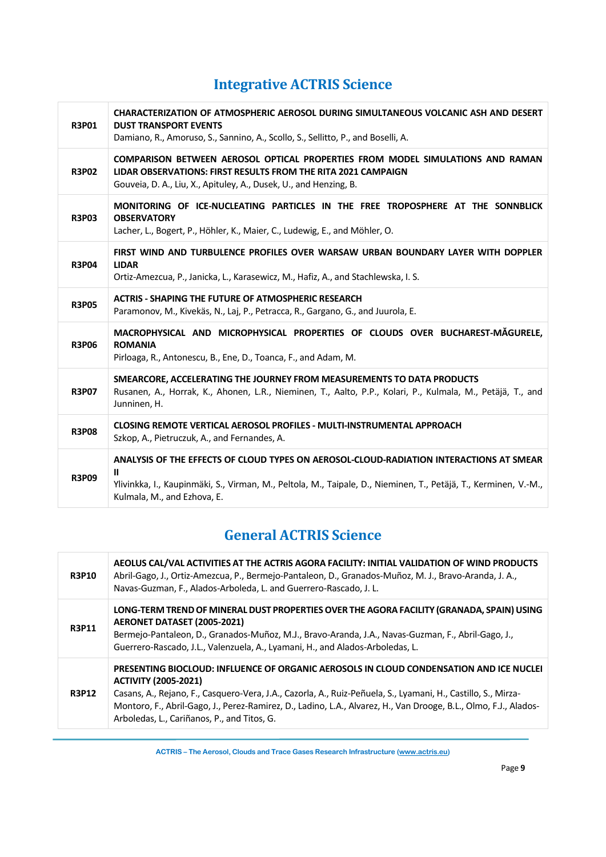# **Integrative ACTRIS Science**

| <b>R3P01</b> | CHARACTERIZATION OF ATMOSPHERIC AEROSOL DURING SIMULTANEOUS VOLCANIC ASH AND DESERT<br><b>DUST TRANSPORT EVENTS</b><br>Damiano, R., Amoruso, S., Sannino, A., Scollo, S., Sellitto, P., and Boselli, A.                                                   |
|--------------|-----------------------------------------------------------------------------------------------------------------------------------------------------------------------------------------------------------------------------------------------------------|
| <b>R3P02</b> | COMPARISON BETWEEN AEROSOL OPTICAL PROPERTIES FROM MODEL SIMULATIONS AND RAMAN<br>LIDAR OBSERVATIONS: FIRST RESULTS FROM THE RITA 2021 CAMPAIGN<br>Gouveia, D. A., Liu, X., Apituley, A., Dusek, U., and Henzing, B.                                      |
| <b>R3P03</b> | MONITORING OF ICE-NUCLEATING PARTICLES IN THE FREE TROPOSPHERE AT THE SONNBLICK<br><b>OBSERVATORY</b><br>Lacher, L., Bogert, P., Höhler, K., Maier, C., Ludewig, E., and Möhler, O.                                                                       |
| <b>R3P04</b> | FIRST WIND AND TURBULENCE PROFILES OVER WARSAW URBAN BOUNDARY LAYER WITH DOPPLER<br><b>LIDAR</b><br>Ortiz-Amezcua, P., Janicka, L., Karasewicz, M., Hafiz, A., and Stachlewska, I. S.                                                                     |
| <b>R3P05</b> | <b>ACTRIS - SHAPING THE FUTURE OF ATMOSPHERIC RESEARCH</b><br>Paramonov, M., Kivekäs, N., Laj, P., Petracca, R., Gargano, G., and Juurola, E.                                                                                                             |
| <b>R3P06</b> | MACROPHYSICAL AND MICROPHYSICAL PROPERTIES OF CLOUDS OVER BUCHAREST-MĂGURELE,<br><b>ROMANIA</b><br>Pirloaga, R., Antonescu, B., Ene, D., Toanca, F., and Adam, M.                                                                                         |
| <b>R3P07</b> | SMEARCORE, ACCELERATING THE JOURNEY FROM MEASUREMENTS TO DATA PRODUCTS<br>Rusanen, A., Horrak, K., Ahonen, L.R., Nieminen, T., Aalto, P.P., Kolari, P., Kulmala, M., Petäjä, T., and<br>Junninen, H.                                                      |
| <b>R3P08</b> | <b>CLOSING REMOTE VERTICAL AEROSOL PROFILES - MULTI-INSTRUMENTAL APPROACH</b><br>Szkop, A., Pietruczuk, A., and Fernandes, A.                                                                                                                             |
| <b>R3P09</b> | ANALYSIS OF THE EFFECTS OF CLOUD TYPES ON AEROSOL-CLOUD-RADIATION INTERACTIONS AT SMEAR<br>$\mathbf{u}$<br>Ylivinkka, I., Kaupinmäki, S., Virman, M., Peltola, M., Taipale, D., Nieminen, T., Petäjä, T., Kerminen, V.-M.,<br>Kulmala, M., and Ezhova, E. |

# **General ACTRIS Science**

| <b>R3P10</b> | AEOLUS CAL/VAL ACTIVITIES AT THE ACTRIS AGORA FACILITY: INITIAL VALIDATION OF WIND PRODUCTS<br>Abril-Gago, J., Ortiz-Amezcua, P., Bermejo-Pantaleon, D., Granados-Muñoz, M. J., Bravo-Aranda, J. A.,<br>Navas-Guzman, F., Alados-Arboleda, L. and Guerrero-Rascado, J. L.                                                                                                                                  |
|--------------|------------------------------------------------------------------------------------------------------------------------------------------------------------------------------------------------------------------------------------------------------------------------------------------------------------------------------------------------------------------------------------------------------------|
| <b>R3P11</b> | LONG-TERM TREND OF MINERAL DUST PROPERTIES OVER THE AGORA FACILITY (GRANADA, SPAIN) USING<br>AERONET DATASET (2005-2021)<br>Bermejo-Pantaleon, D., Granados-Muñoz, M.J., Bravo-Aranda, J.A., Navas-Guzman, F., Abril-Gago, J.,<br>Guerrero-Rascado, J.L., Valenzuela, A., Lyamani, H., and Alados-Arboledas, L.                                                                                            |
| <b>R3P12</b> | PRESENTING BIOCLOUD: INFLUENCE OF ORGANIC AEROSOLS IN CLOUD CONDENSATION AND ICE NUCLEI<br><b>ACTIVITY (2005-2021)</b><br>Casans, A., Rejano, F., Casquero-Vera, J.A., Cazorla, A., Ruiz-Peñuela, S., Lyamani, H., Castillo, S., Mirza-<br>Montoro, F., Abril-Gago, J., Perez-Ramirez, D., Ladino, L.A., Alvarez, H., Van Drooge, B.L., Olmo, F.J., Alados-<br>Arboledas, L., Cariñanos, P., and Titos, G. |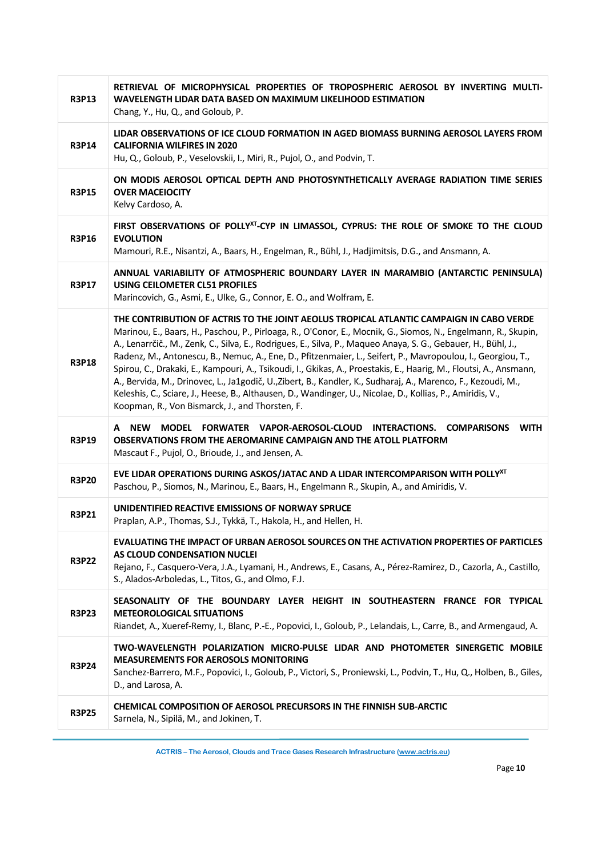| <b>R3P13</b> | RETRIEVAL OF MICROPHYSICAL PROPERTIES OF TROPOSPHERIC AEROSOL BY INVERTING MULTI-<br>WAVELENGTH LIDAR DATA BASED ON MAXIMUM LIKELIHOOD ESTIMATION<br>Chang, Y., Hu, Q., and Goloub, P.                                                                                                                                                                                                                                                                                                                                                                                                                                                                                                                                                                                                                                                              |
|--------------|-----------------------------------------------------------------------------------------------------------------------------------------------------------------------------------------------------------------------------------------------------------------------------------------------------------------------------------------------------------------------------------------------------------------------------------------------------------------------------------------------------------------------------------------------------------------------------------------------------------------------------------------------------------------------------------------------------------------------------------------------------------------------------------------------------------------------------------------------------|
| <b>R3P14</b> | LIDAR OBSERVATIONS OF ICE CLOUD FORMATION IN AGED BIOMASS BURNING AEROSOL LAYERS FROM<br><b>CALIFORNIA WILFIRES IN 2020</b><br>Hu, Q., Goloub, P., Veselovskii, I., Miri, R., Pujol, O., and Podvin, T.                                                                                                                                                                                                                                                                                                                                                                                                                                                                                                                                                                                                                                             |
| <b>R3P15</b> | ON MODIS AEROSOL OPTICAL DEPTH AND PHOTOSYNTHETICALLY AVERAGE RADIATION TIME SERIES<br><b>OVER MACEIOCITY</b><br>Kelvy Cardoso, A.                                                                                                                                                                                                                                                                                                                                                                                                                                                                                                                                                                                                                                                                                                                  |
| <b>R3P16</b> | FIRST OBSERVATIONS OF POLLY <sup>XT</sup> -CYP IN LIMASSOL, CYPRUS: THE ROLE OF SMOKE TO THE CLOUD<br><b>EVOLUTION</b><br>Mamouri, R.E., Nisantzi, A., Baars, H., Engelman, R., Bühl, J., Hadjimitsis, D.G., and Ansmann, A.                                                                                                                                                                                                                                                                                                                                                                                                                                                                                                                                                                                                                        |
| <b>R3P17</b> | ANNUAL VARIABILITY OF ATMOSPHERIC BOUNDARY LAYER IN MARAMBIO (ANTARCTIC PENINSULA)<br>USING CEILOMETER CL51 PROFILES<br>Marincovich, G., Asmi, E., Ulke, G., Connor, E. O., and Wolfram, E.                                                                                                                                                                                                                                                                                                                                                                                                                                                                                                                                                                                                                                                         |
| <b>R3P18</b> | THE CONTRIBUTION OF ACTRIS TO THE JOINT AEOLUS TROPICAL ATLANTIC CAMPAIGN IN CABO VERDE<br>Marinou, E., Baars, H., Paschou, P., Pirloaga, R., O'Conor, E., Mocnik, G., Siomos, N., Engelmann, R., Skupin,<br>A., Lenarrčič., M., Zenk, C., Silva, E., Rodrigues, E., Silva, P., Maqueo Anaya, S. G., Gebauer, H., Bühl, J.,<br>Radenz, M., Antonescu, B., Nemuc, A., Ene, D., Pfitzenmaier, L., Seifert, P., Mavropoulou, I., Georgiou, T.,<br>Spirou, C., Drakaki, E., Kampouri, A., Tsikoudi, I., Gkikas, A., Proestakis, E., Haarig, M., Floutsi, A., Ansmann,<br>A., Bervida, M., Drinovec, L., Ja1godič, U., Zibert, B., Kandler, K., Sudharaj, A., Marenco, F., Kezoudi, M.,<br>Keleshis, C., Sciare, J., Heese, B., Althausen, D., Wandinger, U., Nicolae, D., Kollias, P., Amiridis, V.,<br>Koopman, R., Von Bismarck, J., and Thorsten, F. |
| <b>R3P19</b> | MODEL FORWATER VAPOR-AEROSOL-CLOUD INTERACTIONS. COMPARISONS<br><b>WITH</b><br>A NEW<br>OBSERVATIONS FROM THE AEROMARINE CAMPAIGN AND THE ATOLL PLATFORM<br>Mascaut F., Pujol, O., Brioude, J., and Jensen, A.                                                                                                                                                                                                                                                                                                                                                                                                                                                                                                                                                                                                                                      |
| <b>R3P20</b> | EVE LIDAR OPERATIONS DURING ASKOS/JATAC AND A LIDAR INTERCOMPARISON WITH POLLY <sup>XT</sup><br>Paschou, P., Siomos, N., Marinou, E., Baars, H., Engelmann R., Skupin, A., and Amiridis, V.                                                                                                                                                                                                                                                                                                                                                                                                                                                                                                                                                                                                                                                         |
| <b>R3P21</b> | UNIDENTIFIED REACTIVE EMISSIONS OF NORWAY SPRUCE<br>Praplan, A.P., Thomas, S.J., Tykkä, T., Hakola, H., and Hellen, H.                                                                                                                                                                                                                                                                                                                                                                                                                                                                                                                                                                                                                                                                                                                              |
| <b>R3P22</b> | EVALUATING THE IMPACT OF URBAN AEROSOL SOURCES ON THE ACTIVATION PROPERTIES OF PARTICLES<br>AS CLOUD CONDENSATION NUCLEI<br>Rejano, F., Casquero-Vera, J.A., Lyamani, H., Andrews, E., Casans, A., Pérez-Ramirez, D., Cazorla, A., Castillo,<br>S., Alados-Arboledas, L., Titos, G., and Olmo, F.J.                                                                                                                                                                                                                                                                                                                                                                                                                                                                                                                                                 |
| <b>R3P23</b> | SEASONALITY OF THE BOUNDARY LAYER HEIGHT IN SOUTHEASTERN FRANCE FOR TYPICAL<br><b>METEOROLOGICAL SITUATIONS</b><br>Riandet, A., Xueref-Remy, I., Blanc, P.-E., Popovici, I., Goloub, P., Lelandais, L., Carre, B., and Armengaud, A.                                                                                                                                                                                                                                                                                                                                                                                                                                                                                                                                                                                                                |
| <b>R3P24</b> | TWO-WAVELENGTH POLARIZATION MICRO-PULSE LIDAR AND PHOTOMETER SINERGETIC MOBILE<br><b>MEASUREMENTS FOR AEROSOLS MONITORING</b><br>Sanchez-Barrero, M.F., Popovici, I., Goloub, P., Victori, S., Proniewski, L., Podvin, T., Hu, Q., Holben, B., Giles,<br>D., and Larosa, A.                                                                                                                                                                                                                                                                                                                                                                                                                                                                                                                                                                         |
| <b>R3P25</b> | <b>CHEMICAL COMPOSITION OF AEROSOL PRECURSORS IN THE FINNISH SUB-ARCTIC</b><br>Sarnela, N., Sipilä, M., and Jokinen, T.                                                                                                                                                                                                                                                                                                                                                                                                                                                                                                                                                                                                                                                                                                                             |